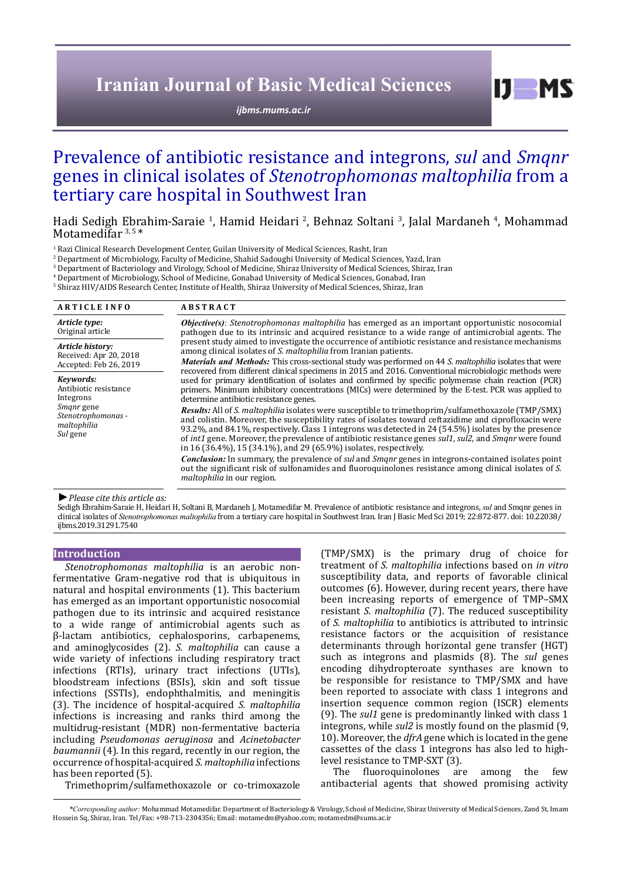# **Iranian Journal of Basic Medical Sciences**

*[ijbms.mums.ac.ir](http://ijbms.mums.ac.ir)*

 $I$   $I$   $M$   $S$ 

# Prevalence of antibiotic resistance and integrons, *sul* and *Smqnr* genes in clinical isolates of *Stenotrophomonas maltophilia* from a tertiary care hospital in Southwest Iran

Hadi Sedigh Ebrahim-Saraie <sup>1</sup>, Hamid Heidari <sup>2</sup>, Behnaz Soltani <sup>3</sup>, Jalal Mardaneh <sup>4</sup>, Mohammad Motamedifar<sup>3,5\*</sup>

<sup>1</sup> Razi Clinical Research Development Center, Guilan University of Medical Sciences, Rasht, Iran

2 Department of Microbiology, Faculty of Medicine, Shahid Sadoughi University of Medical Sciences, Yazd, Iran

3 Department of Bacteriology and Virology, School of Medicine, Shiraz University of Medical Sciences, Shiraz, Iran

4 Department of Microbiology, School of Medicine, Gonabad University of Medical Sciences, Gonabad, Iran

5 Shiraz HIV/AIDS Research Center, Institute of Health, Shiraz University of Medical Sciences, Shiraz, Iran

| <b>ARTICLE INFO</b>                                                | <b>ABSTRACT</b>                                                                                                                                                                                                                                                                                                                                                                                                                                                                                                                            |  |  |  |  |  |
|--------------------------------------------------------------------|--------------------------------------------------------------------------------------------------------------------------------------------------------------------------------------------------------------------------------------------------------------------------------------------------------------------------------------------------------------------------------------------------------------------------------------------------------------------------------------------------------------------------------------------|--|--|--|--|--|
| Article type:<br>Original article                                  | <b><i>Objective(s)</i></b> : Stenotrophomonas maltophilia has emerged as an important opportunistic nosocomial<br>pathogen due to its intrinsic and acquired resistance to a wide range of antimicrobial agents. The<br>present study aimed to investigate the occurrence of antibiotic resistance and resistance mechanisms<br>among clinical isolates of S. maltophilia from Iranian patients.                                                                                                                                           |  |  |  |  |  |
| Article history:<br>Received: Apr 20, 2018                         |                                                                                                                                                                                                                                                                                                                                                                                                                                                                                                                                            |  |  |  |  |  |
| Accepted: Feb 26, 2019                                             | Materials and Methods: This cross-sectional study was performed on 44 S. maltophilia isolates that were<br>recovered from different clinical specimens in 2015 and 2016. Conventional microbiologic methods were                                                                                                                                                                                                                                                                                                                           |  |  |  |  |  |
| Keywords:<br>Antibiotic resistance<br>Integrons                    | used for primary identification of isolates and confirmed by specific polymerase chain reaction (PCR)<br>primers. Minimum inhibitory concentrations (MICs) were determined by the E-test. PCR was applied to<br>determine antibiotic resistance genes.                                                                                                                                                                                                                                                                                     |  |  |  |  |  |
| <i>Smanr</i> gene<br>Stenotrophomonas -<br>maltophilia<br>Sul gene | <b>Results:</b> All of S. maltophilia isolates were susceptible to trimethoprim/sulfamethoxazole (TMP/SMX)<br>and colistin. Moreover, the susceptibility rates of isolates toward ceftazidime and ciprofloxacin were<br>93.2%, and 84.1%, respectively. Class 1 integrons was detected in 24 (54.5%) isolates by the presence<br>of <i>int1</i> gene. Moreover, the prevalence of antibiotic resistance genes <i>sul1</i> , <i>sul2</i> , and <i>Smqnr</i> were found<br>in 16 (36.4%), 15 (34.1%), and 29 (65.9%) isolates, respectively. |  |  |  |  |  |
|                                                                    | Conclusion: In summary, the prevalence of sul and Smqnr genes in integrons-contained isolates point<br>out the significant risk of sulfonamides and fluoroquinolones resistance among clinical isolates of S.<br><i>maltophilia</i> in our region.                                                                                                                                                                                                                                                                                         |  |  |  |  |  |

*►Please cite this article as:*

Sedigh Ebrahim-Saraie H, Heidari H, Soltani B, Mardaneh J, Motamedifar M. Prevalence of antibiotic resistance and integrons, *sul* and Smqnr genes in clinical isolates of *Stenotrophomonas maltophilia* from a tertiary care hospital in Southwest Iran. Iran J Basic Med Sci 2019; 22:872-877. doi: 10.22038/ ijbms.2019.31291.7540

## **Introduction**

*Stenotrophomonas maltophilia* is an aerobic nonfermentative Gram-negative rod that is ubiquitous in natural and hospital environments (1). This bacterium has emerged as an important opportunistic nosocomial pathogen due to its intrinsic and acquired resistance to a wide range of antimicrobial agents such as β-lactam antibiotics, cephalosporins, carbapenems, and aminoglycosides (2). *S. maltophilia* can cause a wide variety of infections including respiratory tract infections (RTIs), urinary tract infections (UTIs), bloodstream infections (BSIs), skin and soft tissue infections (SSTIs), endophthalmitis, and meningitis (3). The incidence of hospital-acquired *S. maltophilia* infections is increasing and ranks third among the multidrug-resistant (MDR) non-fermentative bacteria including *Pseudomonas aeruginosa* and *Acinetobacter baumannii* (4). In this regard, recently in our region, the occurrence of hospital-acquired *S. maltophilia* infections has been reported (5).

Trimethoprim/sulfamethoxazole or co-trimoxazole

(TMP/SMX) is the primary drug of choice for treatment of *S. maltophilia* infections based on *in vitro* susceptibility data, and reports of favorable clinical outcomes (6). However, during recent years, there have been increasing reports of emergence of TMP–SMX resistant *S. maltophilia* (7). The reduced susceptibility of *S. maltophilia* to antibiotics is attributed to intrinsic resistance factors or the acquisition of resistance determinants through horizontal gene transfer (HGT) such as integrons and plasmids (8). The *sul* genes encoding dihydropteroate synthases are known to be responsible for resistance to TMP/SMX and have been reported to associate with class 1 integrons and insertion sequence common region (ISCR) elements (9). The *sul1* gene is predominantly linked with class 1 integrons, while *sul2* is mostly found on the plasmid (9, 10). Moreover, the *dfrA* gene which is located in the gene cassettes of the class 1 integrons has also led to highlevel resistance to TMP-SXT (3).<br>The fluoroquinolones are

among the few antibacterial agents that showed promising activity

*\*Corresponding author:* Mohammad Motamedifar. Department of Bacteriology & Virology, School of Medicine, Shiraz University of Medical Sciences, Zand St, Imam Hossein Sq, Shiraz, Iran. Tel/Fax: +98-713-2304356; Email: motamedm@yahoo.com; motamedm@sums.ac.ir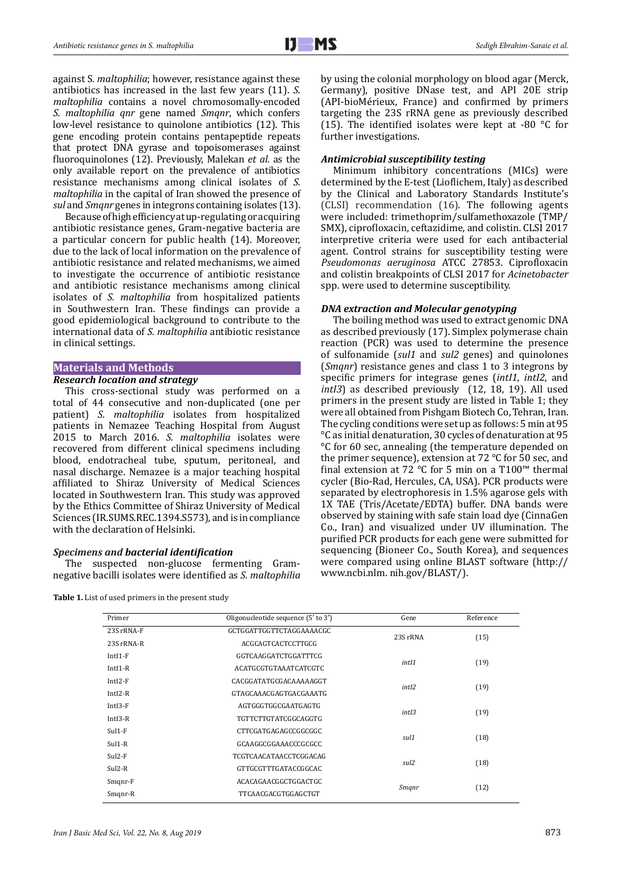against S*. maltophilia*; however, resistance against these antibiotics has increased in the last few years (11). *S. maltophilia* contains a novel chromosomally-encoded *S. maltophilia qnr* gene named *Smqnr*, which confers low-level resistance to quinolone antibiotics (12). This gene encoding protein contains pentapeptide repeats that protect DNA gyrase and topoisomerases against fluoroquinolones (12). Previously, Malekan *et al.* as the only available report on the prevalence of antibiotics resistance mechanisms among clinical isolates of *S. maltophilia* in the capital of Iran showed the presence of *sul* and *Smqnr* genes in integrons containing isolates (13).

Because of high efficiency at up-regulating or acquiring antibiotic resistance genes, Gram-negative bacteria are a particular concern for public health (14). Moreover, due to the lack of local information on the prevalence of antibiotic resistance and related mechanisms, we aimed to investigate the occurrence of antibiotic resistance and antibiotic resistance mechanisms among clinical isolates of *S. maltophilia* from hospitalized patients in Southwestern Iran. These findings can provide a good epidemiological background to contribute to the international data of *S. maltophilia* antibiotic resistance in clinical settings.

# **Materials and Methods**

# *Research location and strategy*

This cross-sectional study was performed on a total of 44 consecutive and non-duplicated (one per patient) *S. maltophilia* isolates from hospitalized patients in Nemazee Teaching Hospital from August 2015 to March 2016. *S. maltophilia* isolates were recovered from different clinical specimens including blood, endotracheal tube, sputum, peritoneal, and nasal discharge. Nemazee is a major teaching hospital affiliated to Shiraz University of Medical Sciences located in Southwestern Iran. This study was approved by the Ethics Committee of Shiraz University of Medical Sciences (IR.SUMS.REC.1394.S573), and is in compliance with the declaration of Helsinki.

# *Specimens and bacterial identification*

The suspected non-glucose fermenting Gramnegative bacilli isolates were identified as *S. maltophilia*

**Table 1.** List of used primers in the present study

by using the colonial morphology on blood agar (Merck, Germany), positive DNase test, and API 20E strip (API-bioMérieux, France) and confirmed by primers targeting the 23S rRNA gene as previously described (15). The identified isolates were kept at -80  $\degree$ C for further investigations.

# *Antimicrobial susceptibility testing*

Minimum inhibitory concentrations (MICs) were determined by the E-test (Lioflichem, Italy) as described by the Clinical and Laboratory Standards Institute's (CLSI) recommendation (16). The following agents were included: trimethoprim/sulfamethoxazole (TMP/ SMX), ciprofloxacin, ceftazidime, and colistin. CLSI 2017 interpretive criteria were used for each antibacterial agent. Control strains for susceptibility testing were *Pseudomonas aeruginosa* ATCC 27853. Ciprofloxacin and colistin breakpoints of CLSI 2017 for *Acinetobacter* spp. were used to determine susceptibility.

#### *DNA extraction and Molecular genotyping*

The boiling method was used to extract genomic DNA as described previously (17). Simplex polymerase chain reaction (PCR) was used to determine the presence of sulfonamide (*sul1* and *sul2* genes) and quinolones (*Smqnr*) resistance genes and class 1 to 3 integrons by specific primers for integrase genes (*intI1*, *intI2*, and *intI3*) as described previously (12, 18, 19). All used primers in the present study are listed in Table 1; they were all obtained from Pishgam Biotech Co, Tehran, Iran. The cycling conditions were set up as follows: 5 min at 95 °C as initial denaturation, 30 cycles of denaturation at 95 °C for 60 sec, annealing (the temperature depended on the primer sequence), extension at 72 °C for 50 sec, and final extension at 72 °C for 5 min on a T100™ thermal cycler (Bio-Rad, Hercules, CA, USA). PCR products were separated by electrophoresis in 1.5% agarose gels with 1X TAE (Tris/Acetate/EDTA) buffer. DNA bands were observed by staining with safe stain load dye (CinnaGen Co., Iran) and visualized under UV illumination. The purified PCR products for each gene were submitted for sequencing (Bioneer Co., South Korea), and sequences were compared using online BLAST software (http:// www.ncbi.nlm. nih.gov/BLAST/).

| Primer     | Oligonucleotide sequence (5' to 3') | Gene              | Reference                            |
|------------|-------------------------------------|-------------------|--------------------------------------|
| 23S rRNA-F | GCTGGATTGGTTCTAGGAAAACGC            | 23S rRNA          | (15)                                 |
| 23S rRNA-R | ACGCAGTCACTCCTTGCG                  |                   |                                      |
| $IntI1-F$  | GGTCAAGGATCTGGATTTCG                | intI1             | (19)                                 |
| $IntI-R$   | ACATGCGTGTAAATCATCGTC               |                   |                                      |
| $IntI2-F$  | CACGGATATGCGACAAAAAGGT              | intI2             |                                      |
| $IntI2-R$  | GTAGCAAACGAGTGACGAAATG              |                   |                                      |
| IntI3-F    | AGTGGGTGGCGAATGAGTG                 | int <sub>13</sub> |                                      |
| $IntI3-R$  | TGTTCTTGTATCGGCAGGTG                |                   |                                      |
| $Sul1-F$   | CTTCGATGAGAGCCGGCGGC                | sul1              |                                      |
| $Sul1-R$   | GCAAGGCGGAAACCCGCGCC                |                   |                                      |
| $Sul2-F$   | TCGTCAACATAACCTCGGACAG              | sul2              |                                      |
| $Sul2-R$   | GTTGCGTTTGATACCGGCAC                |                   |                                      |
| Smgnr-F    | ACACAGAACGGCTGGACTGC                |                   |                                      |
| Smgnr-R    | TTCAACGACGTGGAGCTGT                 | Smgnr             | (19)<br>(19)<br>(18)<br>(18)<br>(12) |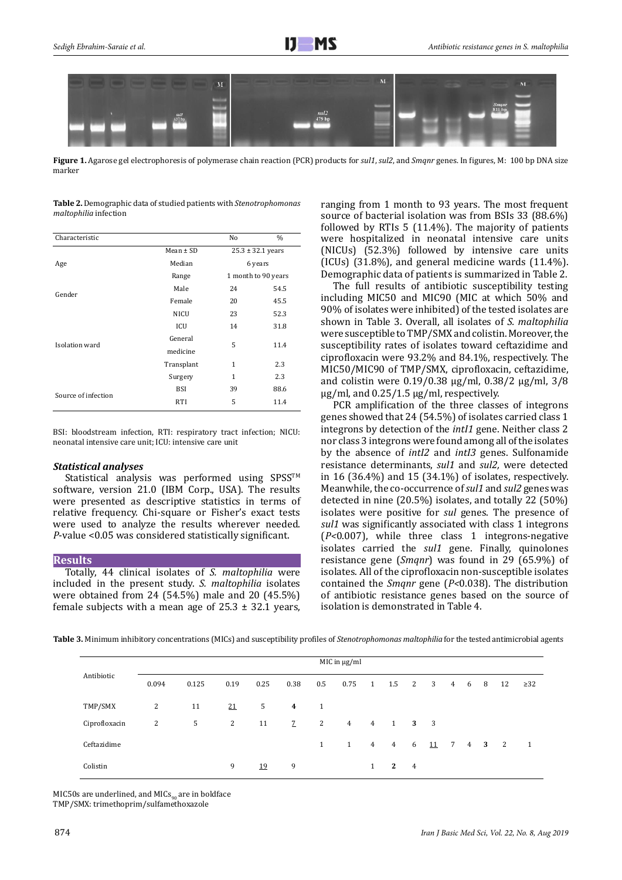

**Figure 1.** Agarose gel electrophoresis of polymerase chain reaction (PCR) products for *sul1*, *sul2*, and *Smqnr* genes. In figures, M: 100 bp DNA size marker

**Table 2.** Demographic data of studied patients with *Stenotrophomonas maltophilia* infection

| Characteristic      |               | No | $\%$                  |  |  |
|---------------------|---------------|----|-----------------------|--|--|
|                     | $Mean \pm SD$ |    | $25.3 \pm 32.1$ years |  |  |
| Age                 | Median        |    | 6 years               |  |  |
|                     | Range         |    | 1 month to 90 years   |  |  |
|                     | Male          | 24 | 54.5                  |  |  |
| Gender              | Female        | 20 | 45.5                  |  |  |
|                     | <b>NICU</b>   | 23 | 52.3                  |  |  |
|                     | ICU           | 14 | 31.8                  |  |  |
| Isolation ward      | General       | 5  | 11.4                  |  |  |
|                     | medicine      |    |                       |  |  |
|                     | Transplant    | 1  | 2.3                   |  |  |
|                     | Surgery       | 1  | 2.3                   |  |  |
| Source of infection | <b>BSI</b>    | 39 | 88.6                  |  |  |
|                     | <b>RTI</b>    | 5  | 11.4                  |  |  |

BSI: bloodstream infection, RTI: respiratory tract infection; NICU: neonatal intensive care unit; ICU: intensive care unit

# *Statistical analyses*

Statistical analysis was performed using SPSS<sup>TM</sup> software, version 21.0 (IBM Corp., USA). The results were presented as descriptive statistics in terms of relative frequency. Chi-square or Fisher's exact tests were used to analyze the results wherever needed. *P*-value <0.05 was considered statistically significant.

#### **Results**

Totally, 44 clinical isolates of *S. maltophilia* were included in the present study. *S. maltophilia* isolates were obtained from 24 (54.5%) male and 20 (45.5%) female subjects with a mean age of  $25.3 \pm 32.1$  years, ranging from 1 month to 93 years. The most frequent source of bacterial isolation was from BSIs 33 (88.6%) followed by RTIs 5 (11.4%). The majority of patients were hospitalized in neonatal intensive care units (NICUs) (52.3%) followed by intensive care units (ICUs) (31.8%), and general medicine wards (11.4%). Demographic data of patients is summarized in Table 2.

The full results of antibiotic susceptibility testing including MIC50 and MIC90 (MIC at which 50% and 90% of isolates were inhibited) of the tested isolates are shown in Table 3. Overall, all isolates of *S. maltophilia* were susceptible to TMP/SMX and colistin. Moreover, the susceptibility rates of isolates toward ceftazidime and ciprofloxacin were 93.2% and 84.1%, respectively. The MIC50/MIC90 of TMP/SMX, ciprofloxacin, ceftazidime, and colistin were 0.19/0.38 µg/ml, 0.38/2 µg/ml, 3/8 µg/ml, and 0.25/1.5 µg/ml, respectively.

PCR amplification of the three classes of integrons genes showed that 24 (54.5%) of isolates carried class 1 integrons by detection of the *intI1* gene. Neither class 2 nor class 3 integrons were found among all of the isolates by the absence of *intI2* and *intI3* genes. Sulfonamide resistance determinants, *sul1* and *sul2,* were detected in 16 (36.4%) and 15 (34.1%) of isolates, respectively. Meanwhile, the co-occurrence of *sul1* and *sul2* genes was detected in nine (20.5%) isolates, and totally 22 (50%) isolates were positive for *sul* genes. The presence of *sul1* was significantly associated with class 1 integrons (*P<*0.007), while three class 1 integrons-negative isolates carried the *sul1* gene. Finally, quinolones resistance gene (*Smqnr*) was found in 29 (65.9%) of isolates. All of the ciprofloxacin non-susceptible isolates contained the *Smqnr* gene (*P<*0.038). The distribution of antibiotic resistance genes based on the source of isolation is demonstrated in Table 4.

**Table 3.** Minimum inhibitory concentrations (MICs) and susceptibility profiles of *Stenotrophomonas maltophilia* for the tested antimicrobial agents

| Antibiotic    | MIC in $\mu$ g/ml |       |      |      |                |              |                |                |                |                |                         |             |   |             |                          |           |
|---------------|-------------------|-------|------|------|----------------|--------------|----------------|----------------|----------------|----------------|-------------------------|-------------|---|-------------|--------------------------|-----------|
|               | 0.094             | 0.125 | 0.19 | 0.25 | 0.38           | 0.5          | 0.75           | $\overline{1}$ | 1.5            | 2              | $\overline{\mathbf{3}}$ | $4^{\circ}$ | 6 | - 8         | 12                       | $\geq$ 32 |
| TMP/SMX       | 2                 | 11    | 21   | 5    | $\overline{4}$ | 1            |                |                |                |                |                         |             |   |             |                          |           |
| Ciprofloxacin | 2                 | 5     | 2    | 11   | $\mathcal{I}$  | 2            | $\overline{4}$ | $\overline{4}$ | <sup>1</sup>   | 3 3            |                         |             |   |             |                          |           |
| Ceftazidime   |                   |       |      |      |                | $\mathbf{1}$ | $\mathbf{1}$   | $4^{\circ}$    | $\overline{4}$ | 6              | 11                      | 7           |   | $4 \quad 3$ | $\overline{\phantom{a}}$ | -1        |
| Colistin      |                   |       | 9    | 19   | 9              |              |                | $\mathbf{1}$   | $\mathbf{2}$   | $\overline{4}$ |                         |             |   |             |                          |           |

MIC50s are underlined, and MIC $s_{90}$  are in boldface TMP/SMX: trimethoprim/sulfamethoxazole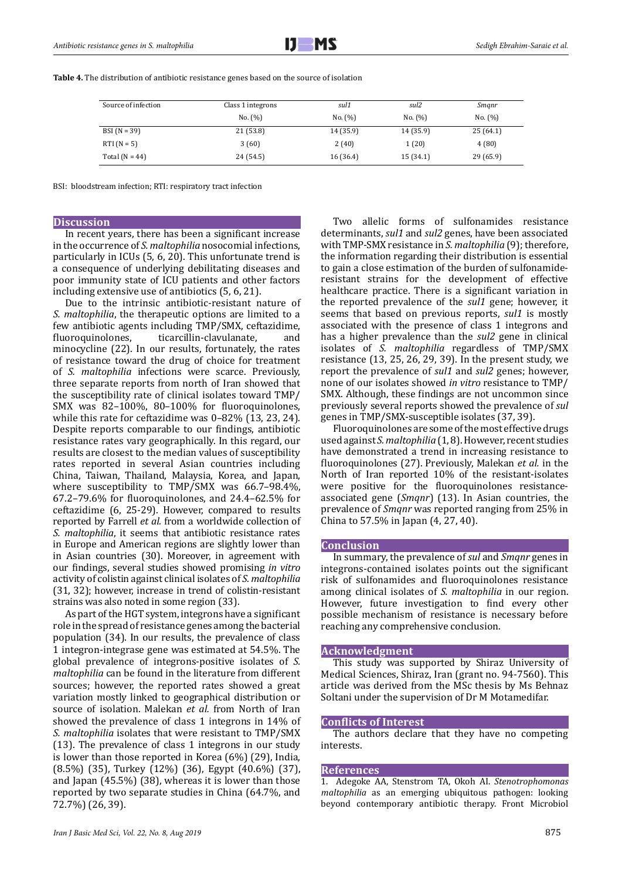| Source of infection | Class 1 integrons | sul1      | sul2      | Smanr     |  |  |
|---------------------|-------------------|-----------|-----------|-----------|--|--|
|                     | No. (%)           | No. (%)   | No. (%)   | No. (%)   |  |  |
| $BSI(N = 39)$       | 21 (53.8)         | 14 (35.9) | 14 (35.9) | 25(64.1)  |  |  |
| $RTI (N = 5)$       | 3(60)             | 2(40)     | 1(20)     | 4(80)     |  |  |
| Total $(N = 44)$    | 24 (54.5)         | 16 (36.4) | 15 (34.1) | 29 (65.9) |  |  |

**Table 4.** The distribution of antibiotic resistance genes based on the source of isolation

BSI: bloodstream infection; RTI: respiratory tract infection

# **Discussion**

In recent years, there has been a significant increase in the occurrence of *S. maltophilia* nosocomial infections, particularly in ICUs (5, 6, 20). This unfortunate trend is a consequence of underlying debilitating diseases and poor immunity state of ICU patients and other factors including extensive use of antibiotics (5, 6, 21).

Due to the intrinsic antibiotic-resistant nature of *S. maltophilia*, the therapeutic options are limited to a few antibiotic agents including TMP/SMX, ceftazidime, ticarcillin-clavulanate, minocycline (22). In our results, fortunately, the rates of resistance toward the drug of choice for treatment of *S. maltophilia* infections were scarce. Previously, three separate reports from north of Iran showed that the susceptibility rate of clinical isolates toward TMP/ SMX was 82–100%, 80–100% for fluoroquinolones, while this rate for ceftazidime was 0–82% (13, 23, 24). Despite reports comparable to our findings, antibiotic resistance rates vary geographically. In this regard, our results are closest to the median values of susceptibility rates reported in several Asian countries including China, Taiwan, Thailand, Malaysia, Korea, and Japan, where susceptibility to TMP/SMX was 66.7–98.4%, 67.2–79.6% for fluoroquinolones, and 24.4–62.5% for ceftazidime (6, 25-29). However, compared to results reported by Farrell *et al.* from a worldwide collection of *S. maltophilia*, it seems that antibiotic resistance rates in Europe and American regions are slightly lower than in Asian countries (30). Moreover, in agreement with our findings, several studies showed promising *in vitro* activity of colistin against clinical isolates of *S. maltophilia*  (31, 32); however, increase in trend of colistin-resistant strains was also noted in some region (33).

As part of the HGT system, integrons have a significant role in the spread of resistance genes among the bacterial population (34). In our results, the prevalence of class 1 integron-integrase gene was estimated at 54.5%. The global prevalence of integrons-positive isolates of *S. maltophilia* can be found in the literature from different sources; however, the reported rates showed a great variation mostly linked to geographical distribution or source of isolation. Malekan *et al.* from North of Iran showed the prevalence of class 1 integrons in 14% of *S. maltophilia* isolates that were resistant to TMP/SMX (13). The prevalence of class 1 integrons in our study is lower than those reported in Korea (6%) (29), India, (8.5%) (35), Turkey (12%) (36), Egypt (40.6%) (37), and Japan (45.5%) (38), whereas it is lower than those reported by two separate studies in China (64.7%, and 72.7%) (26, 39).

Two allelic forms of sulfonamides resistance determinants, *sul1* and *sul2* genes, have been associated with TMP-SMX resistance in *S. maltophilia* (9); therefore, the information regarding their distribution is essential to gain a close estimation of the burden of sulfonamideresistant strains for the development of effective healthcare practice. There is a significant variation in the reported prevalence of the *sul1* gene; however, it seems that based on previous reports, *sul1* is mostly associated with the presence of class 1 integrons and has a higher prevalence than the *sul2* gene in clinical isolates of *S. maltophilia* regardless of TMP/SMX resistance (13, 25, 26, 29, 39). In the present study, we report the prevalence of *sul1* and *sul2* genes; however, none of our isolates showed *in vitro* resistance to TMP/ SMX. Although, these findings are not uncommon since previously several reports showed the prevalence of *sul* genes in TMP/SMX-susceptible isolates (37, 39).

Fluoroquinolones are some of the most effective drugs used against *S. maltophilia* (1, 8). However, recent studies have demonstrated a trend in increasing resistance to fluoroquinolones (27). Previously, Malekan *et al.* in the North of Iran reported 10% of the resistant-isolates were positive for the fluoroquinolones resistanceassociated gene (*Smqnr*) (13). In Asian countries, the prevalence of *Smqnr* was reported ranging from 25% in China to 57.5% in Japan (4, 27, 40).

### **Conclusion**

In summary, the prevalence of *sul* and *Smqnr* genes in integrons-contained isolates points out the significant risk of sulfonamides and fluoroquinolones resistance among clinical isolates of *S. maltophilia* in our region. However, future investigation to find every other possible mechanism of resistance is necessary before reaching any comprehensive conclusion.

#### **Acknowledgment**

This study was supported by Shiraz University of Medical Sciences, Shiraz, Iran (grant no. 94-7560). This article was derived from the MSc thesis by Ms Behnaz Soltani under the supervision of Dr M Motamedifar.

### **Conflicts of Interest**

The authors declare that they have no competing interests.

#### **References**

1. Adegoke AA, Stenstrom TA, Okoh AI. *Stenotrophomonas maltophilia* as an emerging ubiquitous pathogen: looking beyond contemporary antibiotic therapy. Front Microbiol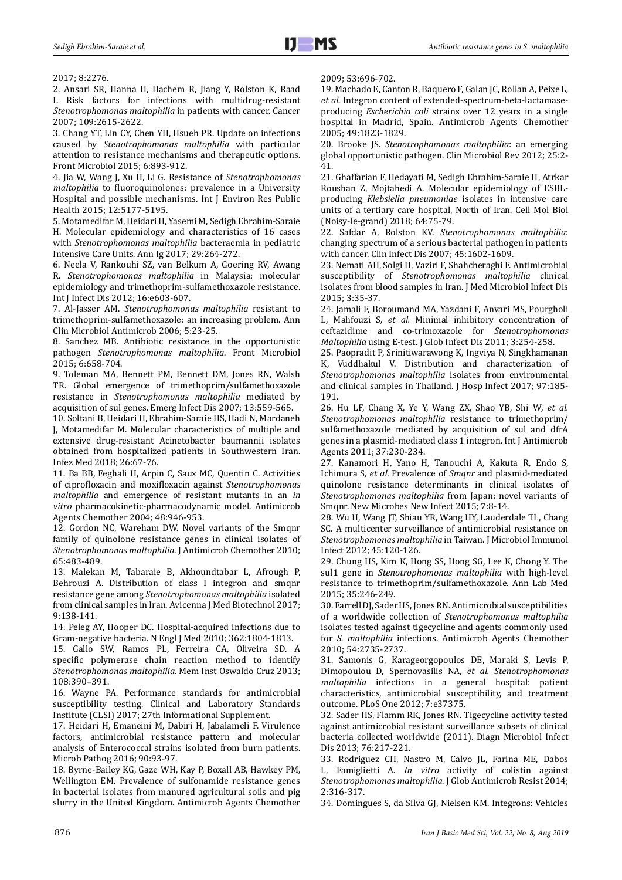### 2017; 8:2276.

2. Ansari SR, Hanna H, Hachem R, Jiang Y, Rolston K, Raad I. Risk factors for infections with multidrug-resistant *Stenotrophomonas maltophilia* in patients with cancer. Cancer 2007; 109:2615-2622.

3. Chang YT, Lin CY, Chen YH, Hsueh PR. Update on infections caused by *Stenotrophomonas maltophilia* with particular attention to resistance mechanisms and therapeutic options. Front Microbiol 2015; 6:893-912.

4. Jia W, Wang J, Xu H, Li G. Resistance of *Stenotrophomonas maltophilia* to fluoroquinolones: prevalence in a University Hospital and possible mechanisms. Int J Environ Res Public Health 2015; 12:5177-5195.

5. Motamedifar M, Heidari H, Yasemi M, Sedigh Ebrahim-Saraie H. Molecular epidemiology and characteristics of 16 cases with *Stenotrophomonas maltophilia* bacteraemia in pediatric Intensive Care Units. Ann Ig 2017; 29:264-272.

6. Neela V, Rankouhi SZ, van Belkum A, Goering RV, Awang R. *Stenotrophomonas maltophilia* in Malaysia: molecular epidemiology and trimethoprim-sulfamethoxazole resistance. Int J Infect Dis 2012; 16:e603-607.

7. Al-Jasser AM. *Stenotrophomonas maltophilia* resistant to trimethoprim-sulfamethoxazole: an increasing problem. Ann Clin Microbiol Antimicrob 2006; 5:23-25.

8. Sanchez MB. Antibiotic resistance in the opportunistic pathogen *Stenotrophomonas maltophilia*. Front Microbiol 2015; 6:658-704.

9. Toleman MA, Bennett PM, Bennett DM, Jones RN, Walsh TR. Global emergence of trimethoprim/sulfamethoxazole resistance in *Stenotrophomonas maltophilia* mediated by acquisition of sul genes. Emerg Infect Dis 2007; 13:559-565.

10. Soltani B, Heidari H, Ebrahim-Saraie HS, Hadi N, Mardaneh J, Motamedifar M. Molecular characteristics of multiple and extensive drug-resistant Acinetobacter baumannii isolates obtained from hospitalized patients in Southwestern Iran. Infez Med 2018; 26:67-76.

11. Ba BB, Feghali H, Arpin C, Saux MC, Quentin C. Activities of ciprofloxacin and moxifloxacin against *Stenotrophomonas maltophilia* and emergence of resistant mutants in an *in vitro* pharmacokinetic-pharmacodynamic model. Antimicrob Agents Chemother 2004; 48:946-953.

12. Gordon NC, Wareham DW. Novel variants of the Smqnr family of quinolone resistance genes in clinical isolates of *Stenotrophomonas maltophilia*. J Antimicrob Chemother 2010; 65:483-489.

13. Malekan M, Tabaraie B, Akhoundtabar L, Afrough P, Behrouzi A. Distribution of class I integron and smqnr resistance gene among *Stenotrophomonas maltophilia* isolated from clinical samples in Iran. Avicenna J Med Biotechnol 2017; 9:138-141.

14. Peleg AY, Hooper DC. Hospital-acquired infections due to Gram-negative bacteria. N Engl J Med 2010; 362:1804-1813.

15. Gallo SW, Ramos PL, Ferreira CA, Oliveira SD. A specific polymerase chain reaction method to identify *Stenotrophomonas maltophilia*. Mem Inst Oswaldo Cruz 2013; 108:390–391.

16. Wayne PA. Performance standards for antimicrobial susceptibility testing. Clinical and Laboratory Standards Institute (CLSI) 2017; 27th Informational Supplement.

17. Heidari H, Emaneini M, Dabiri H, Jabalameli F. Virulence factors, antimicrobial resistance pattern and molecular analysis of Enterococcal strains isolated from burn patients. Microb Pathog 2016; 90:93-97.

18. Byrne-Bailey KG, Gaze WH, Kay P, Boxall AB, Hawkey PM, Wellington EM. Prevalence of sulfonamide resistance genes in bacterial isolates from manured agricultural soils and pig slurry in the United Kingdom. Antimicrob Agents Chemother

2009; 53:696-702.

19. Machado E, Canton R, Baquero F, Galan JC, Rollan A, Peixe L*, et al.* Integron content of extended-spectrum-beta-lactamaseproducing *Escherichia coli* strains over 12 years in a single hospital in Madrid, Spain. Antimicrob Agents Chemother 2005; 49:1823-1829.

20. Brooke JS. *Stenotrophomonas maltophilia*: an emerging global opportunistic pathogen. Clin Microbiol Rev 2012; 25:2- 41.

21. Ghaffarian F, Hedayati M, Sedigh Ebrahim-Saraie H, Atrkar Roushan Z, Mojtahedi A. Molecular epidemiology of ESBLproducing *Klebsiella pneumoniae* isolates in intensive care units of a tertiary care hospital, North of Iran. Cell Mol Biol (Noisy-le-grand) 2018; 64:75-79.

22. Safdar A, Rolston KV. *Stenotrophomonas maltophilia*: changing spectrum of a serious bacterial pathogen in patients with cancer. Clin Infect Dis 2007; 45:1602-1609.

23. Nemati AH, Solgi H, Vaziri F, Shahcheraghi F. Antimicrobial susceptibility of *Stenotrophomonas maltophilia* clinical isolates from blood samples in Iran. J Med Microbiol Infect Dis 2015; 3:35-37.

24. Jamali F, Boroumand MA, Yazdani F, Anvari MS, Pourgholi L, Mahfouzi S*, et al.* Minimal inhibitory concentration of ceftazidime and co-trimoxazole for *Stenotrophomonas Maltophilia* using E-test. J Glob Infect Dis 2011; 3:254-258.

25. Paopradit P, Srinitiwarawong K, Ingviya N, Singkhamanan K, Vuddhakul V. Distribution and characterization of *Stenotrophomonas maltophilia* isolates from environmental and clinical samples in Thailand. J Hosp Infect 2017; 97:185- 191.

26. Hu LF, Chang X, Ye Y, Wang ZX, Shao YB, Shi W*, et al. Stenotrophomonas maltophilia* resistance to trimethoprim/ sulfamethoxazole mediated by acquisition of sul and dfrA genes in a plasmid-mediated class 1 integron. Int J Antimicrob Agents 2011; 37:230-234.

27. Kanamori H, Yano H, Tanouchi A, Kakuta R, Endo S, Ichimura S*, et al.* Prevalence of *Smqnr* and plasmid-mediated quinolone resistance determinants in clinical isolates of *Stenotrophomonas maltophilia* from Japan: novel variants of Smqnr. New Microbes New Infect 2015; 7:8-14.

28. Wu H, Wang JT, Shiau YR, Wang HY, Lauderdale TL, Chang SC. A multicenter surveillance of antimicrobial resistance on *Stenotrophomonas maltophilia* in Taiwan. J Microbiol Immunol Infect 2012; 45:120-126.

29. Chung HS, Kim K, Hong SS, Hong SG, Lee K, Chong Y. The sul1 gene in *Stenotrophomonas maltophilia* with high-level resistance to trimethoprim/sulfamethoxazole. Ann Lab Med 2015; 35:246-249.

30. Farrell DJ, Sader HS, Jones RN. Antimicrobial susceptibilities of a worldwide collection of *Stenotrophomonas maltophilia* isolates tested against tigecycline and agents commonly used for *S. maltophilia* infections. Antimicrob Agents Chemother 2010; 54:2735-2737.

31. Samonis G, Karageorgopoulos DE, Maraki S, Levis P, Dimopoulou D, Spernovasilis NA*, et al. Stenotrophomonas maltophilia* infections in a general hospital: patient characteristics, antimicrobial susceptibility, and treatment outcome. PLoS One 2012; 7:e37375.

32. Sader HS, Flamm RK, Jones RN. Tigecycline activity tested against antimicrobial resistant surveillance subsets of clinical bacteria collected worldwide (2011). Diagn Microbiol Infect Dis 2013; 76:217-221.

33. Rodriguez CH, Nastro M, Calvo JL, Farina ME, Dabos L, Famiglietti A. *In vitro* activity of colistin against *Stenotrophomonas maltophilia*. J Glob Antimicrob Resist 2014; 2:316-317.

34. Domingues S, da Silva GJ, Nielsen KM. Integrons: Vehicles